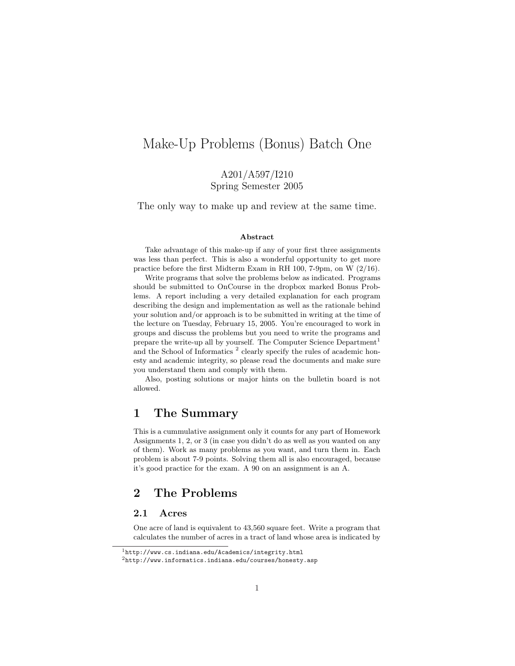# Make-Up Problems (Bonus) Batch One

A201/A597/I210 Spring Semester 2005

The only way to make up and review at the same time.

#### Abstract

Take advantage of this make-up if any of your first three assignments was less than perfect. This is also a wonderful opportunity to get more practice before the first Midterm Exam in RH 100, 7-9pm, on W (2/16).

Write programs that solve the problems below as indicated. Programs should be submitted to OnCourse in the dropbox marked Bonus Problems. A report including a very detailed explanation for each program describing the design and implementation as well as the rationale behind your solution and/or approach is to be submitted in writing at the time of the lecture on Tuesday, February 15, 2005. You're encouraged to work in groups and discuss the problems but you need to write the programs and prepare the write-up all by yourself. The Computer Science Department<sup>1</sup> and the School of Informatics<sup>2</sup> clearly specify the rules of academic honesty and academic integrity, so please read the documents and make sure you understand them and comply with them.

Also, posting solutions or major hints on the bulletin board is not allowed.

# 1 The Summary

This is a cummulative assignment only it counts for any part of Homework Assignments 1, 2, or 3 (in case you didn't do as well as you wanted on any of them). Work as many problems as you want, and turn them in. Each problem is about 7-9 points. Solving them all is also encouraged, because it's good practice for the exam. A 90 on an assignment is an A.

# 2 The Problems

#### 2.1 Acres

One acre of land is equivalent to 43,560 square feet. Write a program that calculates the number of acres in a tract of land whose area is indicated by

<sup>1</sup>http://www.cs.indiana.edu/Academics/integrity.html

 $^{2}$ http://www.informatics.indiana.edu/courses/honesty.asp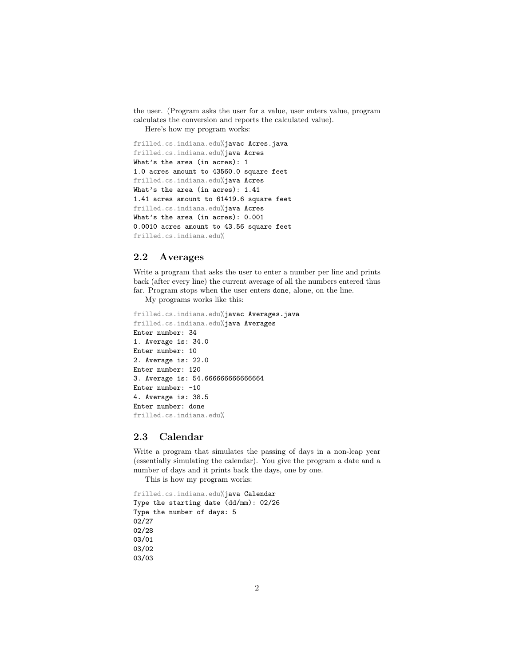the user. (Program asks the user for a value, user enters value, program calculates the conversion and reports the calculated value).

Here's how my program works:

```
frilled.cs.indiana.edu%javac Acres.java
frilled.cs.indiana.edu%java Acres
What's the area (in acres): 1
1.0 acres amount to 43560.0 square feet
frilled.cs.indiana.edu%java Acres
What's the area (in acres): 1.41
1.41 acres amount to 61419.6 square feet
frilled.cs.indiana.edu%java Acres
What's the area (in acres): 0.001
0.0010 acres amount to 43.56 square feet
frilled.cs.indiana.edu%
```
#### 2.2 Averages

Write a program that asks the user to enter a number per line and prints back (after every line) the current average of all the numbers entered thus far. Program stops when the user enters done, alone, on the line.

My programs works like this:

```
frilled.cs.indiana.edu%javac Averages.java
frilled.cs.indiana.edu%java Averages
Enter number: 34
1. Average is: 34.0
Enter number: 10
2. Average is: 22.0
Enter number: 120
3. Average is: 54.666666666666664
Enter number: -10
4. Average is: 38.5
Enter number: done
frilled.cs.indiana.edu%
```
#### 2.3 Calendar

Write a program that simulates the passing of days in a non-leap year (essentially simulating the calendar). You give the program a date and a number of days and it prints back the days, one by one.

This is how my program works:

```
frilled.cs.indiana.edu%java Calendar
Type the starting date (dd/mm): 02/26
Type the number of days: 5
02/27
02/28
03/01
03/02
03/03
```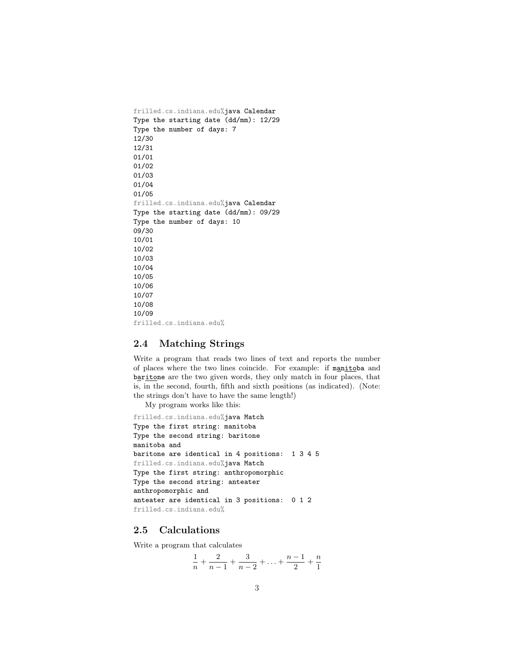frilled.cs.indiana.edu%java Calendar Type the starting date (dd/mm): 12/29 Type the number of days: 7 12/30 12/31 01/01 01/02 01/03 01/04 01/05 frilled.cs.indiana.edu%java Calendar Type the starting date (dd/mm): 09/29 Type the number of days: 10 09/30 10/01 10/02 10/03 10/04 10/05 10/06 10/07 10/08 10/09 frilled.cs.indiana.edu%

#### 2.4 Matching Strings

Write a program that reads two lines of text and reports the number of places where the two lines coincide. For example: if manitoba and baritone are the two given words, they only match in four places, that is, in the second, fourth, fifth and sixth positions (as indicated). (Note: the strings don't have to have the same length!)

My program works like this:

```
frilled.cs.indiana.edu%java Match
Type the first string: manitoba
Type the second string: baritone
manitoba and
baritone are identical in 4 positions: 1 3 4 5
frilled.cs.indiana.edu%java Match
Type the first string: anthropomorphic
Type the second string: anteater
anthropomorphic and
anteater are identical in 3 positions: 0 1 2
frilled.cs.indiana.edu%
```
#### 2.5 Calculations

Write a program that calculates

$$
\frac{1}{n} + \frac{2}{n-1} + \frac{3}{n-2} + \ldots + \frac{n-1}{2} + \frac{n}{1}
$$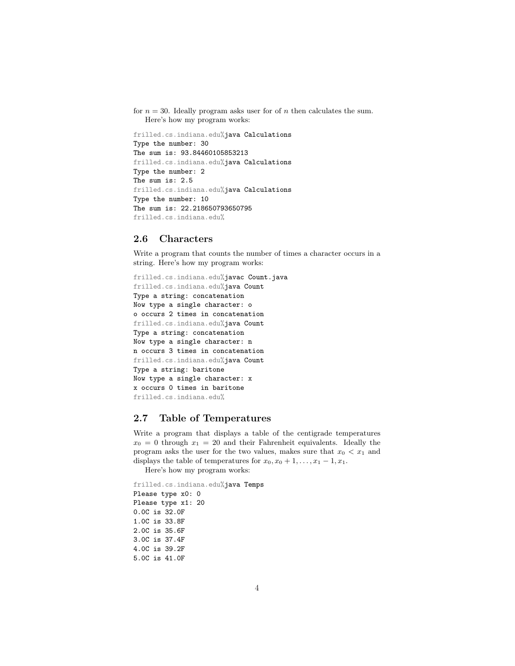```
for n = 30. Ideally program asks user for of n then calculates the sum.
   Here's how my program works:
```
frilled.cs.indiana.edu%java Calculations Type the number: 30 The sum is: 93.84460105853213 frilled.cs.indiana.edu%java Calculations Type the number: 2 The sum is: 2.5 frilled.cs.indiana.edu%java Calculations Type the number: 10 The sum is: 22.218650793650795 frilled.cs.indiana.edu%

#### 2.6 Characters

Write a program that counts the number of times a character occurs in a string. Here's how my program works:

```
frilled.cs.indiana.edu%javac Count.java
frilled.cs.indiana.edu%java Count
Type a string: concatenation
Now type a single character: o
o occurs 2 times in concatenation
frilled.cs.indiana.edu%java Count
Type a string: concatenation
Now type a single character: n
n occurs 3 times in concatenation
frilled.cs.indiana.edu%java Count
Type a string: baritone
Now type a single character: x
x occurs 0 times in baritone
frilled.cs.indiana.edu%
```
#### 2.7 Table of Temperatures

Write a program that displays a table of the centigrade temperatures  $x_0 = 0$  through  $x_1 = 20$  and their Fahrenheit equivalents. Ideally the program asks the user for the two values, makes sure that  $x_0 < x_1$  and displays the table of temperatures for  $x_0, x_0 + 1, \ldots, x_1 - 1, x_1$ .

Here's how my program works:

frilled.cs.indiana.edu%java Temps Please type x0: 0 Please type x1: 20 0.0C is 32.0F 1.0C is 33.8F 2.0C is 35.6F 3.0C is 37.4F 4.0C is 39.2F 5.0C is 41.0F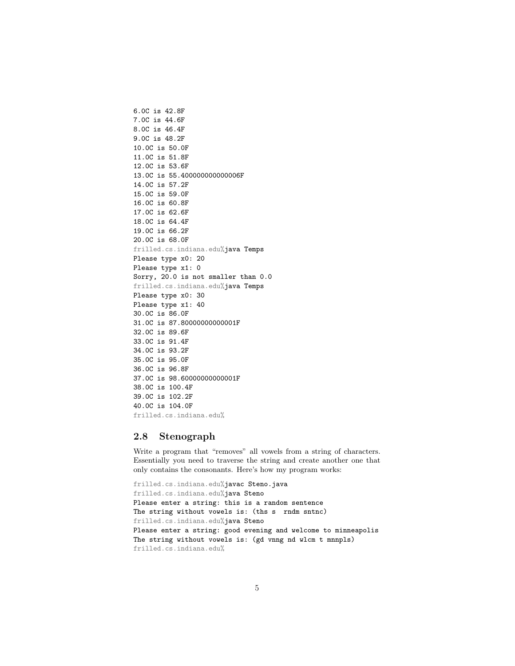6.0C is 42.8F 7.0C is 44.6F 8.0C is 46.4F 9.0C is 48.2F 10.0C is 50.0F 11.0C is 51.8F 12.0C is 53.6F 13.0C is 55.400000000000006F 14.0C is 57.2F 15.0C is 59.0F 16.0C is 60.8F 17.0C is 62.6F 18.0C is 64.4F 19.0C is 66.2F 20.0C is 68.0F frilled.cs.indiana.edu%java Temps Please type x0: 20 Please type x1: 0 Sorry, 20.0 is not smaller than 0.0 frilled.cs.indiana.edu%java Temps Please type x0: 30 Please type x1: 40 30.0C is 86.0F 31.0C is 87.80000000000001F 32.0C is 89.6F 33.0C is 91.4F 34.0C is 93.2F 35.0C is 95.0F 36.0C is 96.8F 37.0C is 98.60000000000001F 38.0C is 100.4F 39.0C is 102.2F 40.0C is 104.0F frilled.cs.indiana.edu%

#### 2.8 Stenograph

Write a program that "removes" all vowels from a string of characters. Essentially you need to traverse the string and create another one that only contains the consonants. Here's how my program works:

```
frilled.cs.indiana.edu%javac Steno.java
frilled.cs.indiana.edu%java Steno
Please enter a string: this is a random sentence
The string without vowels is: (ths s rndm sntnc)
frilled.cs.indiana.edu%java Steno
Please enter a string: good evening and welcome to minneapolis
The string without vowels is: (gd vnng nd wlcm t mnnpls)
frilled.cs.indiana.edu%
```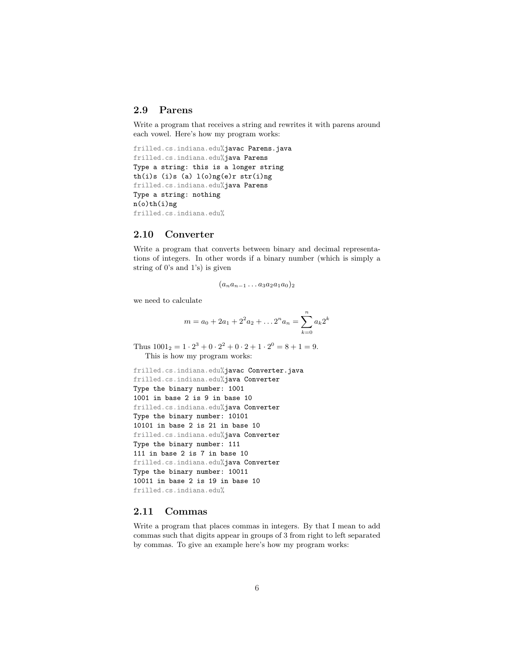#### 2.9 Parens

Write a program that receives a string and rewrites it with parens around each vowel. Here's how my program works:

```
frilled.cs.indiana.edu%javac Parens.java
frilled.cs.indiana.edu%java Parens
Type a string: this is a longer string
th(i)s (i)s (a) l(o)ng(e)r str(i)ng
frilled.cs.indiana.edu%java Parens
Type a string: nothing
n(o)th(i)ng
frilled.cs.indiana.edu%
```
#### 2.10 Converter

Write a program that converts between binary and decimal representations of integers. In other words if a binary number (which is simply a string of 0's and 1's) is given

$$
(a_na_{n-1}\dots a_3a_2a_1a_0)_2
$$

we need to calculate

$$
m = a_0 + 2a_1 + 2^2 a_2 + \dots + 2^n a_n = \sum_{k=0}^n a_k 2^k
$$

Thus  $1001_2 = 1 \cdot 2^3 + 0 \cdot 2^2 + 0 \cdot 2 + 1 \cdot 2^0 = 8 + 1 = 9$ . This is how my program works:

```
frilled.cs.indiana.edu%javac Converter.java
frilled.cs.indiana.edu%java Converter
Type the binary number: 1001
1001 in base 2 is 9 in base 10
frilled.cs.indiana.edu%java Converter
Type the binary number: 10101
10101 in base 2 is 21 in base 10
frilled.cs.indiana.edu%java Converter
Type the binary number: 111
111 in base 2 is 7 in base 10
frilled.cs.indiana.edu%java Converter
Type the binary number: 10011
10011 in base 2 is 19 in base 10
frilled.cs.indiana.edu%
```
#### 2.11 Commas

Write a program that places commas in integers. By that I mean to add commas such that digits appear in groups of 3 from right to left separated by commas. To give an example here's how my program works: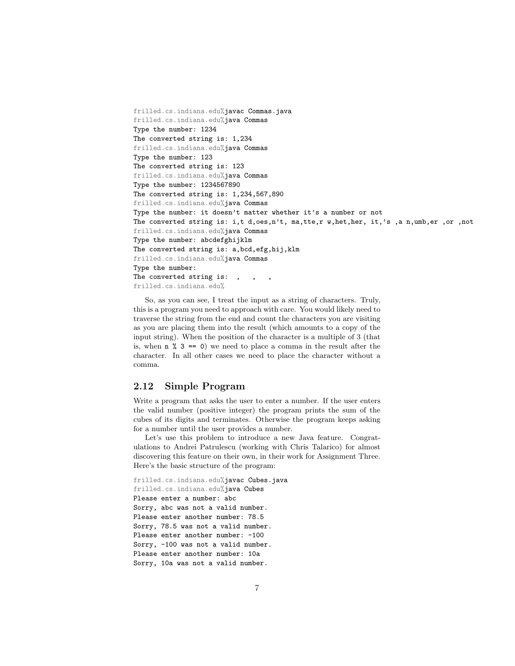```
frilled.cs.indiana.edu%javac Commas.java
frilled.cs.indiana.edu%java Commas
Type the number: 1234
The converted string is: 1,234
frilled.cs.indiana.edu%java Commas
Type the number: 123
The converted string is: 123
frilled.cs.indiana.edu%java Commas
Type the number: 1234567890
The converted string is: 1,234,567,890
frilled.cs.indiana.edu%java Commas
Type the number: it doesn't matter whether it's a number or not
The converted string is: i,t d,oes,n't, ma,tte,r w,het,her, it,'s ,a n,umb,er ,or ,not
frilled.cs.indiana.edu%java Commas
Type the number: abcdefghijklm
The converted string is: a,bcd,efg,hij,klm
frilled.cs.indiana.edu%java Commas
Type the number:
The converted string is: , , ,
frilled.cs.indiana.edu%
```
So, as you can see, I treat the input as a string of characters. Truly, this is a program you need to approach with care. You would likely need to traverse the string from the end and count the characters you are visiting as you are placing them into the result (which amounts to a copy of the input string). When the position of the character is a multiple of 3 (that is, when  $n \times 3 == 0$  we need to place a comma in the result after the character. In all other cases we need to place the character without a comma.

#### 2.12 Simple Program

Write a program that asks the user to enter a number. If the user enters the valid number (positive integer) the program prints the sum of the cubes of its digits and terminates. Otherwise the program keeps asking for a number until the user provides a number.

Let's use this problem to introduce a new Java feature. Congratulations to Andrei Patrulescu (working with Chris Talarico) for almost discovering this feature on their own, in their work for Assignment Three. Here's the basic structure of the program:

```
frilled.cs.indiana.edu%javac Cubes.java
frilled.cs.indiana.edu%java Cubes
Please enter a number: abc
Sorry, abc was not a valid number.
Please enter another number: 78.5
Sorry, 78.5 was not a valid number.
Please enter another number: -100
Sorry, -100 was not a valid number.
Please enter another number: 10a
Sorry, 10a was not a valid number.
```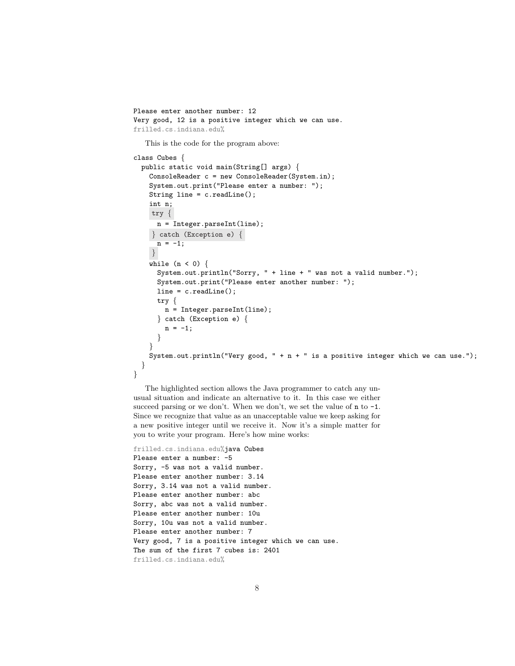```
Please enter another number: 12
Very good, 12 is a positive integer which we can use.
frilled.cs.indiana.edu%
  This is the code for the program above:
class Cubes {
  public static void main(String[] args) {
    ConsoleReader c = new ConsoleReader(System.in);
    System.out.print("Please enter a number: ");
    String line = c.readLine();
    int n;
    try {
      n = Integer.parseInt(line);
    } catch (Exception e) {
      n = -1;}
    while (n < 0) {
      System.out.println("Sorry, " + line + " was not a valid number.");
      System.out.print("Please enter another number: ");
      line = c.readLine();
      try {
       n = Integer.parseInt(line);
      } catch (Exception e) {
       n = -1;
      }
    }
   System.out.println("Very good, " + n + " is a positive integer which we can use.");
 }
}
```
The highlighted section allows the Java programmer to catch any unusual situation and indicate an alternative to it. In this case we either succeed parsing or we don't. When we don't, we set the value of  $n$  to  $-1$ . Since we recognize that value as an unacceptable value we keep asking for a new positive integer until we receive it. Now it's a simple matter for you to write your program. Here's how mine works:

```
frilled.cs.indiana.edu%java Cubes
Please enter a number: -5
Sorry, -5 was not a valid number.
Please enter another number: 3.14
Sorry, 3.14 was not a valid number.
Please enter another number: abc
Sorry, abc was not a valid number.
Please enter another number: 10u
Sorry, 10u was not a valid number.
Please enter another number: 7
Very good, 7 is a positive integer which we can use.
The sum of the first 7 cubes is: 2401
frilled.cs.indiana.edu%
```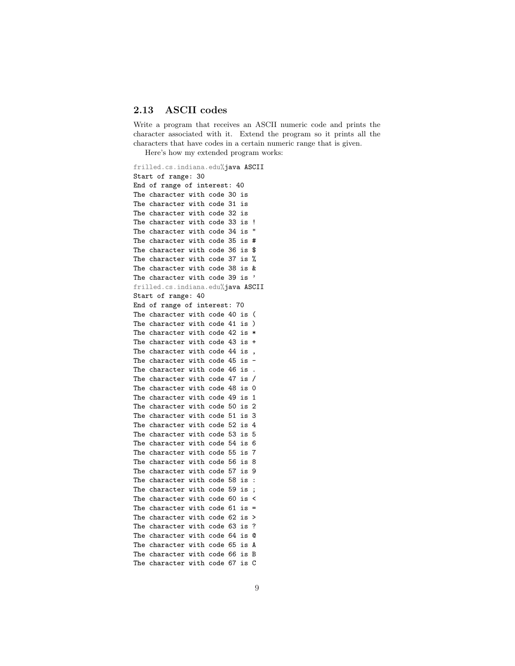#### 2.13 ASCII codes

Write a program that receives an ASCII numeric code and prints the character associated with it. Extend the program so it prints all the characters that have codes in a certain numeric range that is given.

Here's how my extended program works:

frilled.cs.indiana.edu%java ASCII Start of range: 30 End of range of interest: 40 The character with code 30 is The character with code 31 is The character with code 32 is The character with code 33 is ! The character with code 34 is " The character with code 35 is # The character with code 36 is \$ The character with code 37 is % The character with code 38 is & The character with code 39 is ' frilled.cs.indiana.edu%java ASCII Start of range: 40 End of range of interest: 70 The character with code 40 is ( The character with code 41 is ) The character with code 42 is \* The character with code 43 is + The character with code 44 is , The character with code 45 is  $-$ The character with code 46 is. The character with code 47 is / The character with code 48 is 0 The character with code 49 is 1 The character with code 50 is 2 The character with code 51 is 3 The character with code 52 is 4 The character with code 53 is 5 The character with code 54 is 6 The character with code 55 is 7 The character with code 56 is 8 The character with code 57 is 9 The character with code 58 is : The character with code 59 is; The character with code 60 is < The character with code 61 is = The character with code 62 is > The character with code 63 is ? The character with code 64 is @ The character with code 65 is A The character with code 66 is B The character with code 67 is C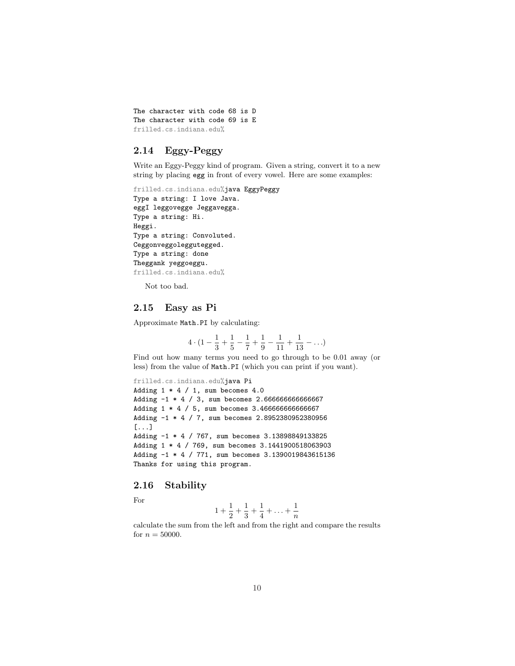The character with code 68 is D The character with code 69 is E frilled.cs.indiana.edu%

## 2.14 Eggy-Peggy

Write an Eggy-Peggy kind of program. Given a string, convert it to a new string by placing egg in front of every vowel. Here are some examples:

```
frilled.cs.indiana.edu%java EggyPeggy
Type a string: I love Java.
eggI leggovegge Jeggavegga.
Type a string: Hi.
Heggi.
Type a string: Convoluted.
Ceggonveggoleggutegged.
Type a string: done
Theggank yeggoeggu.
frilled.cs.indiana.edu%
```
Not too bad.

### 2.15 Easy as Pi

Approximate Math.PI by calculating:

$$
4 \cdot (1 - \frac{1}{3} + \frac{1}{5} - \frac{1}{7} + \frac{1}{9} - \frac{1}{11} + \frac{1}{13} - \ldots)
$$

Find out how many terms you need to go through to be 0.01 away (or less) from the value of Math.PI (which you can print if you want).

```
frilled.cs.indiana.edu%java Pi
Adding 1 * 4 / 1, sum becomes 4.0Adding -1 * 4 / 3, sum becomes 2.666666666666667
Adding 1 * 4 / 5, sum becomes 3.466666666666667
Adding -1 * 4 / 7, sum becomes 2.8952380952380956
[...]
Adding -1 * 4 / 767, sum becomes 3.13898849133825
Adding 1 * 4 / 769, sum becomes 3.1441900518063903
Adding -1 * 4 / 771, sum becomes 3.1390019843615136
Thanks for using this program.
```
### 2.16 Stability

For

$$
1 + \frac{1}{2} + \frac{1}{3} + \frac{1}{4} + \ldots + \frac{1}{n}
$$

calculate the sum from the left and from the right and compare the results for  $n = 50000$ .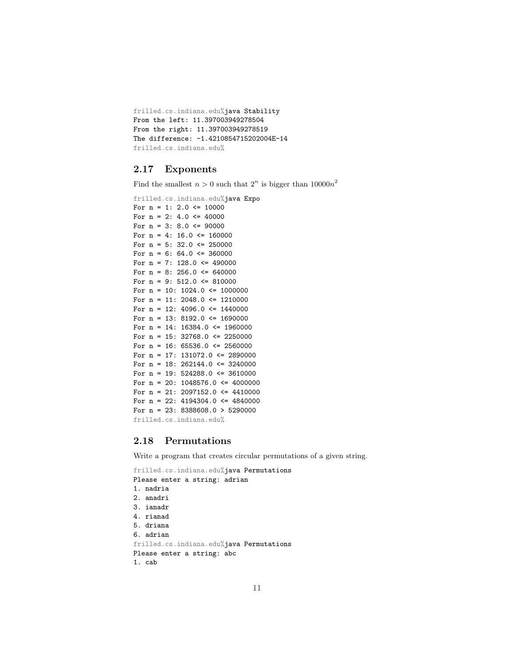```
frilled.cs.indiana.edu%java Stability
From the left: 11.397003949278504
From the right: 11.397003949278519
The difference: -1.4210854715202004E-14
frilled.cs.indiana.edu%
```
#### 2.17 Exponents

Find the smallest  $n > 0$  such that  $2^n$  is bigger than  $10000n^2$ 

```
frilled.cs.indiana.edu%java Expo
For n = 1: 2.0 \le 10000For n = 2: 4.0 <= 40000
For n = 3: 8.0 \le 90000For n = 4: 16.0 <= 160000
For n = 5: 32.0 <= 250000
For n = 6: 64.0 \leq 360000For n = 7: 128.0 \le 490000For n = 8: 256.0 \le 640000For n = 9: 512.0 \le 810000For n = 10: 1024.0 \le 1000000For n = 11: 2048.0 \le 1210000For n = 12: 4096.0 \le 1440000For n = 13: 8192.0 \le 1690000For n = 14: 16384.0 <= 1960000
For n = 15: 32768.0 <= 2250000
For n = 16: 65536.0 \le 2560000For n = 17: 131072.0 <= 2890000
For n = 18: 262144.0 \leq 3240000For n = 19: 524288.0 \le 3610000For n = 20: 1048576.0 <= 4000000
For n = 21: 2097152.0 <= 4410000
For n = 22: 4194304.0 <= 4840000
For n = 23: 8388608.0 > 5290000
frilled.cs.indiana.edu%
```
#### 2.18 Permutations

Write a program that creates circular permutations of a given string.

```
frilled.cs.indiana.edu%java Permutations
Please enter a string: adrian
1. nadria
2. anadri
3. ianadr
4. rianad
5. driana
6. adrian
frilled.cs.indiana.edu%java Permutations
Please enter a string: abc
1. cab
```